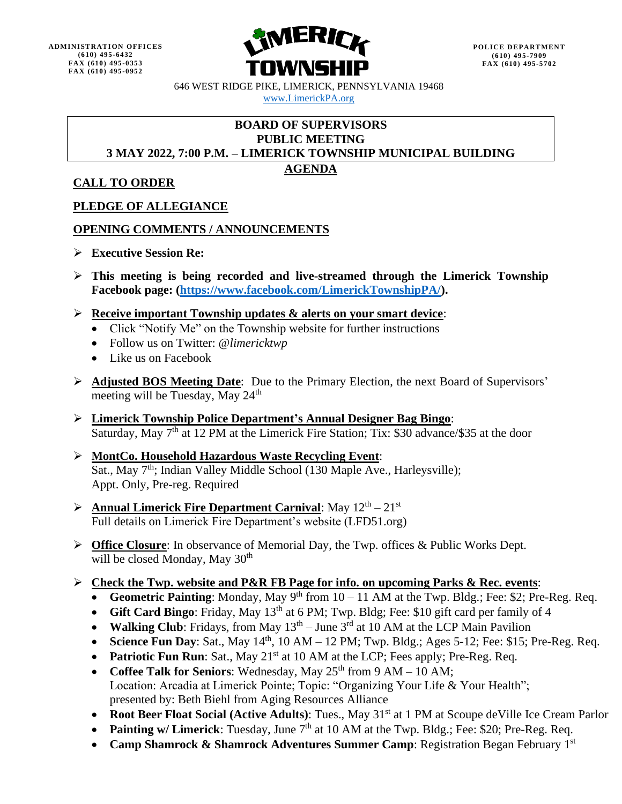

646 WEST RIDGE PIKE, LIMERICK, PENNSYLVANIA 19468 [www.LimerickPA.org](http://www.limerickpa.org/)

## **BOARD OF SUPERVISORS PUBLIC MEETING 3 MAY 2022, 7:00 P.M. – LIMERICK TOWNSHIP MUNICIPAL BUILDING**

# **AGENDA**

## **CALL TO ORDER**

# **PLEDGE OF ALLEGIANCE**

## **OPENING COMMENTS / ANNOUNCEMENTS**

- ➢ **Executive Session Re:**
- ➢ **This meeting is being recorded and live-streamed through the Limerick Township Facebook page: [\(https://www.facebook.com/LimerickTownshipPA/\)](https://www.facebook.com/LimerickTownshipPA/).**
- ➢ **Receive important Township updates & alerts on your smart device**:
	- Click "Notify Me" on the Township website for further instructions
	- Follow us on Twitter: @*limericktwp*
	- Like us on Facebook
- ➢ **Adjusted BOS Meeting Date**: Due to the Primary Election, the next Board of Supervisors' meeting will be Tuesday, May 24<sup>th</sup>
- ➢ **Limerick Township Police Department's Annual Designer Bag Bingo**: Saturday, May  $7<sup>th</sup>$  at 12 PM at the Limerick Fire Station; Tix: \$30 advance/\$35 at the door

### ➢ **MontCo. Household Hazardous Waste Recycling Event**: Sat., May  $7<sup>th</sup>$ ; Indian Valley Middle School (130 Maple Ave., Harleysville); Appt. Only, Pre-reg. Required

- **Example 12th** 21st **Annual Limerick Fire Department Carnival**: May  $12^{th} 21^{st}$ Full details on Limerick Fire Department's website (LFD51.org)
- ➢ **Office Closure**: In observance of Memorial Day, the Twp. offices & Public Works Dept. will be closed Monday, May  $30<sup>th</sup>$

## ➢ **Check the Twp. website and P&R FB Page for info. on upcoming Parks & Rec. events**:

- **Geometric Painting**: Monday, May  $9<sup>th</sup>$  from  $10 11$  AM at the Twp. Bldg.; Fee: \$2; Pre-Reg. Req.
- **Gift Card Bingo**: Friday, May 13<sup>th</sup> at 6 PM; Twp. Bldg; Fee: \$10 gift card per family of 4
- **Walking Club**: Fridays, from May  $13<sup>th</sup> June 3<sup>rd</sup>$  at 10 AM at the LCP Main Pavilion
- **Science Fun Day**: Sat., May  $14<sup>th</sup>$ , 10 AM 12 PM; Twp. Bldg.; Ages 5-12; Fee: \$15; Pre-Reg. Req.
- **Patriotic Fun Run**: Sat., May 21<sup>st</sup> at 10 AM at the LCP; Fees apply; Pre-Reg. Req.
- **Coffee Talk for Seniors:** Wednesday, May 25<sup>th</sup> from 9 AM 10 AM; Location: Arcadia at Limerick Pointe; Topic: "Organizing Your Life & Your Health"; presented by: Beth Biehl from Aging Resources Alliance
- **Root Beer Float Social (Active Adults):** Tues., May 31<sup>st</sup> at 1 PM at Scoupe deVille Ice Cream Parlor
- **Painting w/ Limerick**: Tuesday, June  $7<sup>th</sup>$  at 10 AM at the Twp. Bldg.; Fee: \$20; Pre-Reg. Req.
- **Camp Shamrock & Shamrock Adventures Summer Camp**: Registration Began February 1st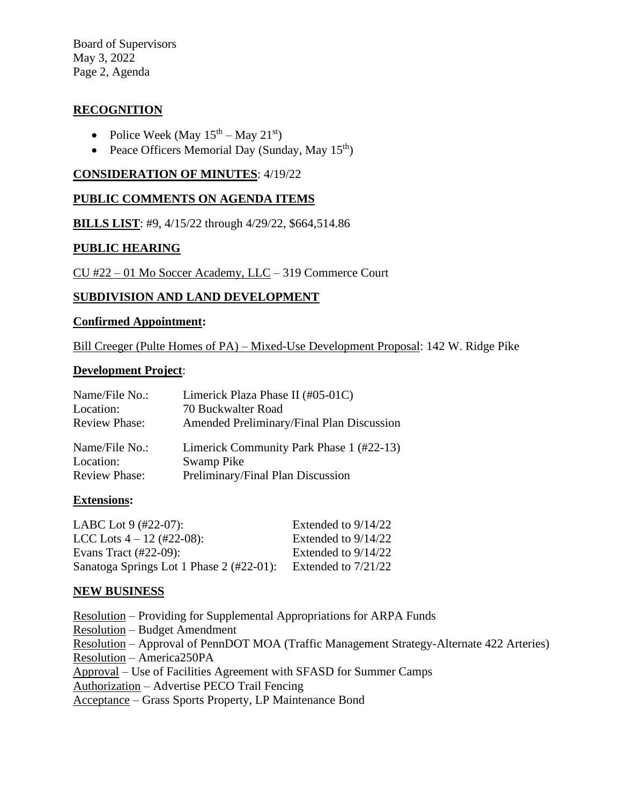Board of Supervisors May 3, 2022 Page 2, Agenda

## **RECOGNITION**

- Police Week (May  $15^{\text{th}} -$  May  $21^{\text{st}}$ )
- Peace Officers Memorial Day (Sunday, May 15<sup>th</sup>)

#### **CONSIDERATION OF MINUTES**: 4/19/22

### **PUBLIC COMMENTS ON AGENDA ITEMS**

**BILLS LIST**: #9, 4/15/22 through 4/29/22, \$664,514.86

### **PUBLIC HEARING**

CU #22 – 01 Mo Soccer Academy, LLC – 319 Commerce Court

### **SUBDIVISION AND LAND DEVELOPMENT**

#### **Confirmed Appointment:**

Bill Creeger (Pulte Homes of PA) – Mixed-Use Development Proposal: 142 W. Ridge Pike

#### **Development Project**:

| Name/File No.:       | Limerick Plaza Phase II (#05-01C)         |
|----------------------|-------------------------------------------|
| Location:            | 70 Buckwalter Road                        |
| <b>Review Phase:</b> | Amended Preliminary/Final Plan Discussion |
| Name/File No.:       | Limerick Community Park Phase 1 (#22-13)  |
| Location:            | Swamp Pike                                |
| <b>Review Phase:</b> | Preliminary/Final Plan Discussion         |

#### **Extensions:**

| LABC Lot $9$ (#22-07):                   | Extended to $9/14/22$ |
|------------------------------------------|-----------------------|
| LCC Lots $4 - 12$ (#22-08):              | Extended to $9/14/22$ |
| Evans Tract $(\#22-09)$ :                | Extended to $9/14/22$ |
| Sanatoga Springs Lot 1 Phase 2 (#22-01): | Extended to $7/21/22$ |

#### **NEW BUSINESS**

Resolution – Providing for Supplemental Appropriations for ARPA Funds Resolution – Budget Amendment Resolution – Approval of PennDOT MOA (Traffic Management Strategy-Alternate 422 Arteries) Resolution – America250PA Approval – Use of Facilities Agreement with SFASD for Summer Camps Authorization – Advertise PECO Trail Fencing Acceptance – Grass Sports Property, LP Maintenance Bond